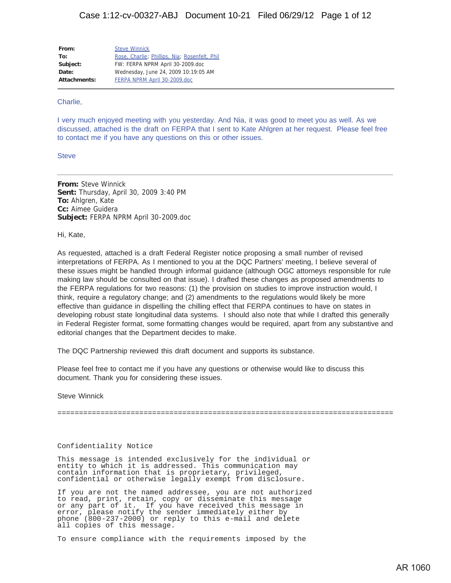**From:** Steve Winnick **To:** Rose, Charlie; Phillips, Nia; Rosenfelt, Phil Subject: FW: FERPA NPRM April 30-2009.doc **Date:** Wednesday, June 24, 2009 10:19:05 AM **Attachments:** FERPA NPRM April 30-2009.doc

#### Charlie,

I very much enjoyed meeting with you yesterday. And Nia, it was good to meet you as well. As we discussed, attached is the draft on FERPA that I sent to Kate Ahlgren at her request. Please feel free to contact me if you have any questions on this or other issues.

**Steve** 

**From:** Steve Winnick **Sent:** Thursday, April 30, 2009 3:40 PM **To:** Ahlgren, Kate **Cc:** Aimee Guidera **Subject:** FERPA NPRM April 30-2009.doc

Hi, Kate,

As requested, attached is a draft Federal Register notice proposing a small number of revised interpretations of FERPA. As I mentioned to you at the DQC Partners' meeting, I believe several of these issues might be handled through informal guidance (although OGC attorneys responsible for rule making law should be consulted on that issue). I drafted these changes as proposed amendments to the FERPA regulations for two reasons: (1) the provision on studies to improve instruction would, I think, require a regulatory change; and (2) amendments to the regulations would likely be more effective than guidance in dispelling the chilling effect that FERPA continues to have on states in developing robust state longitudinal data systems. I should also note that while I drafted this generally in Federal Register format, some formatting changes would be required, apart from any substantive and editorial changes that the Department decides to make.

The DQC Partnership reviewed this draft document and supports its substance.

Please feel free to contact me if you have any questions or otherwise would like to discuss this document. Thank you for considering these issues.

Steve Winnick

==============================================================================

#### Confidentiality Notice

This message is intended exclusively for the individual or entity to which it is addressed. This communication may contain information that is proprietary, privileged, confidential or otherwise legally exempt from disclosure.

If you are not the named addressee, you are not authorized to read, print, retain, copy or disseminate this message or any part of it. If you have received this message in error, please notify the sender immediately either by phone (800-237-2000) or reply to this e-mail and delete all copies of this message.

To ensure compliance with the requirements imposed by the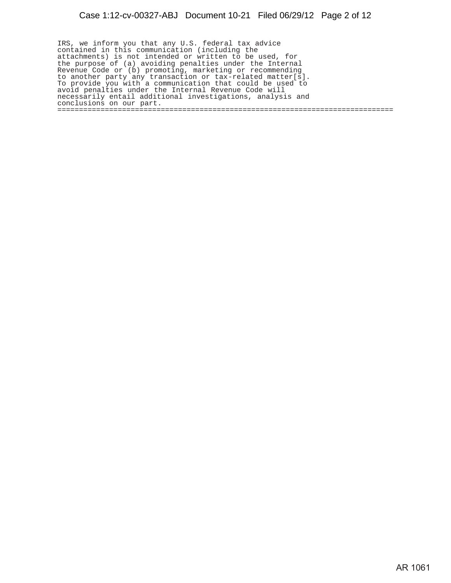IRS, we inform you that any U.S. federal tax advice contained in this communication (including the attachments) is not intended or written to be used, for the purpose of (a) avoiding penalties under the Internal Revenue Code or (b) promoting, marketing or recommending to another party any transaction or tax-related matter[s]. To provide you with a communication that could be used to avoid penalties under the Internal Revenue Code will necessarily entail additional investigations, analysis and conclusions on our part. ==============================================================================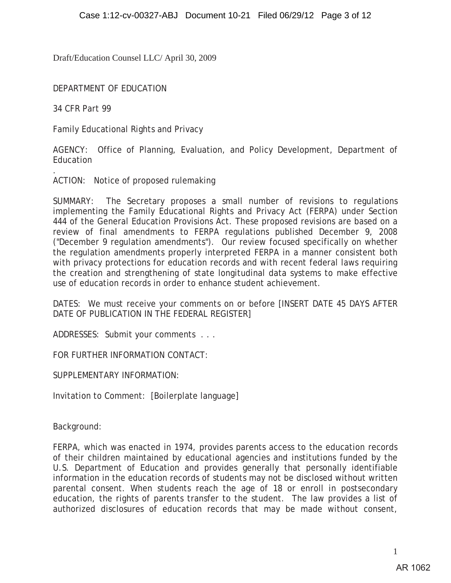DEPARTMENT OF EDUCATION

34 CFR Part 99

.

Family Educational Rights and Privacy

AGENCY: Office of Planning, Evaluation, and Policy Development, Department of Education

ACTION: Notice of proposed rulemaking

SUMMARY: The Secretary proposes a small number of revisions to regulations implementing the Family Educational Rights and Privacy Act (FERPA) under Section 444 of the General Education Provisions Act. These proposed revisions are based on a review of final amendments to FERPA regulations published December 9, 2008 ("December 9 regulation amendments"). Our review focused specifically on whether the regulation amendments properly interpreted FERPA in a manner consistent both with privacy protections for education records and with recent federal laws requiring the creation and strengthening of state longitudinal data systems to make effective use of education records in order to enhance student achievement.

DATES: We must receive your comments on or before [INSERT DATE 45 DAYS AFTER DATE OF PUBLICATION IN THE FEDERAL REGISTER]

ADDRESSES: Submit your comments . . .

FOR FURTHER INFORMATION CONTACT:

SUPPLEMENTARY INFORMATION:

Invitation to Comment: [Boilerplate language]

Background:

FERPA, which was enacted in 1974, provides parents access to the education records of their children maintained by educational agencies and institutions funded by the U.S. Department of Education and provides generally that personally identifiable information in the education records of students may not be disclosed without written parental consent. When students reach the age of 18 or enroll in postsecondary education, the rights of parents transfer to the student. The law provides a list of authorized disclosures of education records that may be made without consent,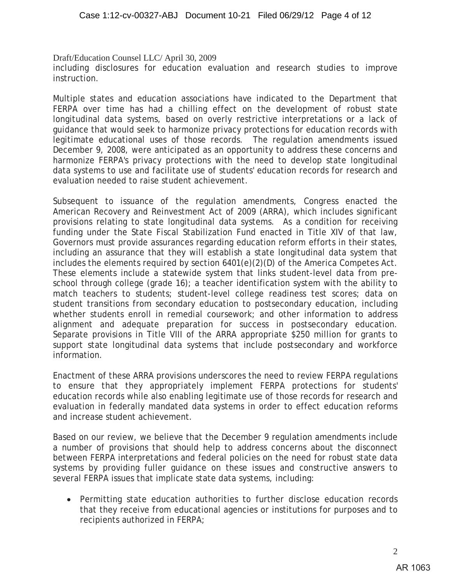Draft/Education Counsel LLC/ April 30, 2009 including disclosures for education evaluation and research studies to improve instruction.

Multiple states and education associations have indicated to the Department that FERPA over time has had a chilling effect on the development of robust state longitudinal data systems, based on overly restrictive interpretations or a lack of guidance that would seek to harmonize privacy protections for education records with legitimate educational uses of those records. The regulation amendments issued December 9, 2008, were anticipated as an opportunity to address these concerns and harmonize FERPA's privacy protections with the need to develop state longitudinal data systems to use and facilitate use of students' education records for research and evaluation needed to raise student achievement.

Subsequent to issuance of the regulation amendments, Congress enacted the American Recovery and Reinvestment Act of 2009 (ARRA), which includes significant provisions relating to state longitudinal data systems. As a condition for receiving funding under the State Fiscal Stabilization Fund enacted in Title XIV of that law, Governors must provide assurances regarding education reform efforts in their states, including an assurance that they will establish a state longitudinal data system that includes the elements required by section 6401(e)(2)(D) of the America Competes Act. These elements include a statewide system that links student-level data from preschool through college (grade 16); a teacher identification system with the ability to match teachers to students; student-level college readiness test scores; data on student transitions from secondary education to postsecondary education, including whether students enroll in remedial coursework; and other information to address alignment and adequate preparation for success in postsecondary education. Separate provisions in Title VIII of the ARRA appropriate \$250 million for grants to support state longitudinal data systems that include postsecondary and workforce information.

Enactment of these ARRA provisions underscores the need to review FERPA regulations to ensure that they appropriately implement FERPA protections for students' education records while also enabling legitimate use of those records for research and evaluation in federally mandated data systems in order to effect education reforms and increase student achievement.

Based on our review, we believe that the December 9 regulation amendments include a number of provisions that should help to address concerns about the disconnect between FERPA interpretations and federal policies on the need for robust state data systems by providing fuller guidance on these issues and constructive answers to several FERPA issues that implicate state data systems, including:

• Permitting state education authorities to further disclose education records that they receive from educational agencies or institutions for purposes and to recipients authorized in FERPA;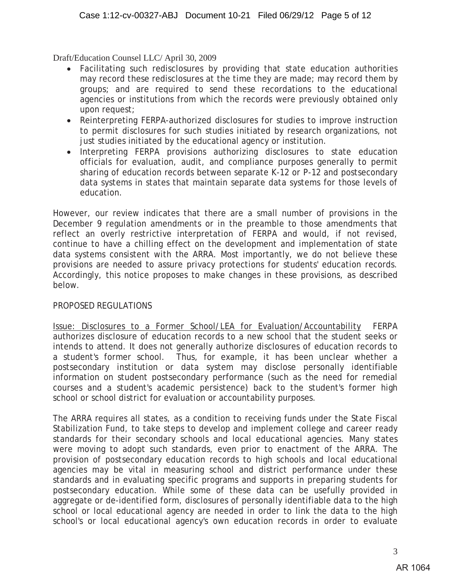- Facilitating such redisclosures by providing that state education authorities may record these redisclosures at the time they are made; may record them by groups; and are required to send these recordations to the educational agencies or institutions from which the records were previously obtained only upon request;
- Reinterpreting FERPA-authorized disclosures for studies to improve instruction to permit disclosures for such studies initiated by research organizations, not just studies initiated by the educational agency or institution.
- Interpreting FERPA provisions authorizing disclosures to state education officials for evaluation, audit, and compliance purposes generally to permit sharing of education records between separate K-12 or P-12 and postsecondary data systems in states that maintain separate data systems for those levels of education.

However, our review indicates that there are a small number of provisions in the December 9 regulation amendments or in the preamble to those amendments that reflect an overly restrictive interpretation of FERPA and would, if not revised, continue to have a chilling effect on the development and implementation of state data systems consistent with the ARRA. Most importantly, we do not believe these provisions are needed to assure privacy protections for students' education records. Accordingly, this notice proposes to make changes in these provisions, as described below.

### PROPOSED REGULATIONS

Issue: Disclosures to a Former School/LEA for Evaluation/Accountability FERPA authorizes disclosure of education records to a new school that the student seeks or intends to attend. It does not generally authorize disclosures of education records to a student's former school. Thus, for example, it has been unclear whether a postsecondary institution or data system may disclose personally identifiable information on student postsecondary performance (such as the need for remedial courses and a student's academic persistence) back to the student's former high school or school district for evaluation or accountability purposes.

The ARRA requires all states, as a condition to receiving funds under the State Fiscal Stabilization Fund, to take steps to develop and implement college and career ready standards for their secondary schools and local educational agencies. Many states were moving to adopt such standards, even prior to enactment of the ARRA. The provision of postsecondary education records to high schools and local educational agencies may be vital in measuring school and district performance under these standards and in evaluating specific programs and supports in preparing students for postsecondary education. While some of these data can be usefully provided in aggregate or de-identified form, disclosures of personally identifiable data to the high school or local educational agency are needed in order to link the data to the high school's or local educational agency's own education records in order to evaluate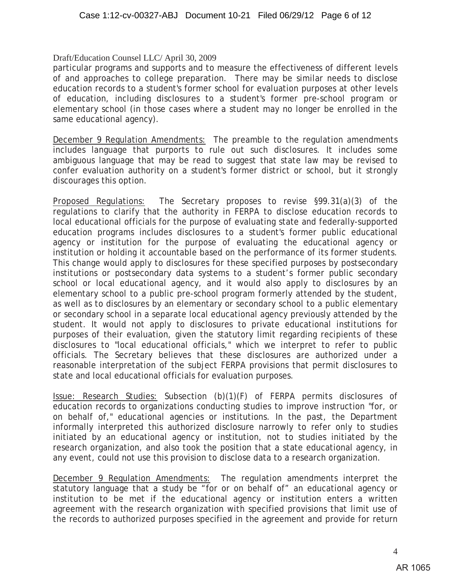particular programs and supports and to measure the effectiveness of different levels of and approaches to college preparation. There may be similar needs to disclose education records to a student's former school for evaluation purposes at other levels of education, including disclosures to a student's former pre-school program or elementary school (in those cases where a student may no longer be enrolled in the same educational agency).

December 9 Regulation Amendments: The preamble to the regulation amendments includes language that purports to rule out such disclosures. It includes some ambiguous language that may be read to suggest that state law may be revised to confer evaluation authority on a student's former district or school, but it strongly discourages this option.

Proposed Regulations: The Secretary proposes to revise §99.31(a)(3) of the regulations to clarify that the authority in FERPA to disclose education records to local educational officials for the purpose of evaluating state and federally-supported education programs includes disclosures to a student's former public educational agency or institution for the purpose of evaluating the educational agency or institution or holding it accountable based on the performance of its former students. This change would apply to disclosures for these specified purposes by postsecondary institutions or postsecondary data systems to a student's former public secondary school or local educational agency, and it would also apply to disclosures by an elementary school to a public pre-school program formerly attended by the student, as well as to disclosures by an elementary or secondary school to a public elementary or secondary school in a separate local educational agency previously attended by the student. It would not apply to disclosures to private educational institutions for purposes of their evaluation, given the statutory limit regarding recipients of these disclosures to "local educational officials," which we interpret to refer to public officials. The Secretary believes that these disclosures are authorized under a reasonable interpretation of the subject FERPA provisions that permit disclosures to state and local educational officials for evaluation purposes.

Issue: Research Studies: Subsection (b)(1)(F) of FERPA permits disclosures of education records to organizations conducting studies to improve instruction "for, or on behalf of," educational agencies or institutions. In the past, the Department informally interpreted this authorized disclosure narrowly to refer only to studies initiated by an educational agency or institution, not to studies initiated by the research organization, and also took the position that a state educational agency, in any event, could not use this provision to disclose data to a research organization.

December 9 Regulation Amendments: The regulation amendments interpret the statutory language that a study be "for or on behalf of" an educational agency or institution to be met if the educational agency or institution enters a written agreement with the research organization with specified provisions that limit use of the records to authorized purposes specified in the agreement and provide for return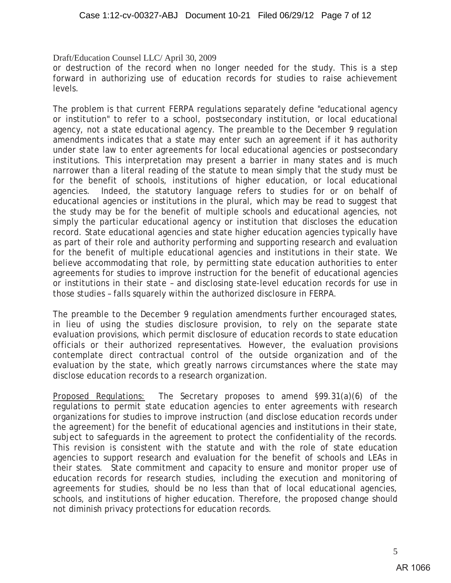or destruction of the record when no longer needed for the study. This is a step forward in authorizing use of education records for studies to raise achievement levels.

The problem is that current FERPA regulations separately define "educational agency or institution" to refer to a school, postsecondary institution, or local educational agency, not a state educational agency. The preamble to the December 9 regulation amendments indicates that a state may enter such an agreement if it has authority under state law to enter agreements for local educational agencies or postsecondary institutions. This interpretation may present a barrier in many states and is much narrower than a literal reading of the statute to mean simply that the study must be for the benefit of schools, institutions of higher education, or local educational agencies. Indeed, the statutory language refers to studies for or on behalf of educational agencies or institutions in the plural, which may be read to suggest that the study may be for the benefit of multiple schools and educational agencies, not simply the particular educational agency or institution that discloses the education record. State educational agencies and state higher education agencies typically have as part of their role and authority performing and supporting research and evaluation for the benefit of multiple educational agencies and institutions in their state. We believe accommodating that role, by permitting state education authorities to enter agreements for studies to improve instruction for the benefit of educational agencies or institutions in their state – and disclosing state-level education records for use in those studies – falls squarely within the authorized disclosure in FERPA.

The preamble to the December 9 regulation amendments further encouraged states, in lieu of using the studies disclosure provision, to rely on the separate state evaluation provisions, which permit disclosure of education records to state education officials or their authorized representatives. However, the evaluation provisions contemplate direct contractual control of the outside organization and of the evaluation by the state, which greatly narrows circumstances where the state may disclose education records to a research organization.

Proposed Regulations: The Secretary proposes to amend §99.31(a)(6) of the regulations to permit state education agencies to enter agreements with research organizations for studies to improve instruction (and disclose education records under the agreement) for the benefit of educational agencies and institutions in their state, subject to safeguards in the agreement to protect the confidentiality of the records. This revision is consistent with the statute and with the role of state education agencies to support research and evaluation for the benefit of schools and LEAs in their states. State commitment and capacity to ensure and monitor proper use of education records for research studies, including the execution and monitoring of agreements for studies, should be no less than that of local educational agencies, schools, and institutions of higher education. Therefore, the proposed change should not diminish privacy protections for education records.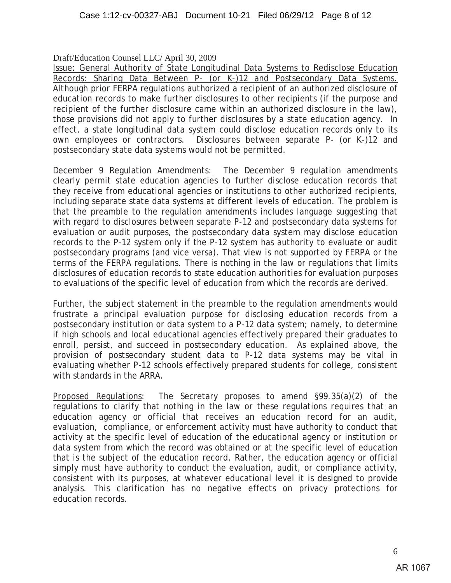Issue: General Authority of State Longitudinal Data Systems to Redisclose Education Records: Sharing Data Between P- (or K-)12 and Postsecondary Data Systems. Although prior FERPA regulations authorized a recipient of an authorized disclosure of education records to make further disclosures to other recipients (if the purpose and recipient of the further disclosure came within an authorized disclosure in the law), those provisions did not apply to further disclosures by a state education agency. In effect, a state longitudinal data system could disclose education records only to its own employees or contractors. Disclosures between separate P- (or K-)12 and postsecondary state data systems would not be permitted.

December 9 Regulation Amendments: The December 9 regulation amendments clearly permit state education agencies to further disclose education records that they receive from educational agencies or institutions to other authorized recipients, including separate state data systems at different levels of education. The problem is that the preamble to the regulation amendments includes language suggesting that with regard to disclosures between separate P-12 and postsecondary data systems for evaluation or audit purposes, the postsecondary data system may disclose education records to the P-12 system only if the P-12 system has authority to evaluate or audit postsecondary programs (and vice versa). That view is not supported by FERPA or the terms of the FERPA regulations. There is nothing in the law or regulations that limits disclosures of education records to state education authorities for evaluation purposes to evaluations of the specific level of education from which the records are derived.

Further, the subject statement in the preamble to the regulation amendments would frustrate a principal evaluation purpose for disclosing education records from a postsecondary institution or data system to a P-12 data system; namely, to determine if high schools and local educational agencies effectively prepared their graduates to enroll, persist, and succeed in postsecondary education. As explained above, the provision of postsecondary student data to P-12 data systems may be vital in evaluating whether P-12 schools effectively prepared students for college, consistent with standards in the ARRA.

Proposed Regulations: The Secretary proposes to amend §99.35(a)(2) of the regulations to clarify that nothing in the law or these regulations requires that an education agency or official that receives an education record for an audit, evaluation, compliance, or enforcement activity must have authority to conduct that activity at the specific level of education of the educational agency or institution or data system from which the record was obtained or at the specific level of education that is the subject of the education record. Rather, the education agency or official simply must have authority to conduct the evaluation, audit, or compliance activity, consistent with its purposes, at whatever educational level it is designed to provide analysis. This clarification has no negative effects on privacy protections for education records.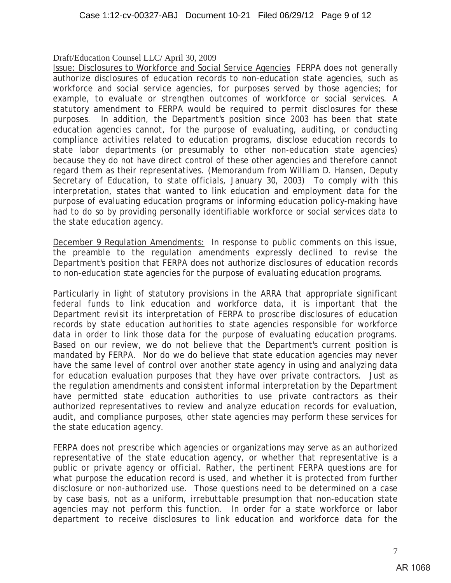Issue: Disclosures to Workforce and Social Service Agencies FERPA does not generally authorize disclosures of education records to non-education state agencies, such as workforce and social service agencies, for purposes served by those agencies; for example, to evaluate or strengthen outcomes of workforce or social services. A statutory amendment to FERPA would be required to permit disclosures for these purposes. In addition, the Department's position since 2003 has been that state education agencies cannot, for the purpose of evaluating, auditing, or conducting compliance activities related to education programs, disclose education records to state labor departments (or presumably to other non-education state agencies) because they do not have direct control of these other agencies and therefore cannot regard them as their representatives. (Memorandum from William D. Hansen, Deputy Secretary of Education, to state officials, January 30, 2003) To comply with this interpretation, states that wanted to link education and employment data for the purpose of evaluating education programs or informing education policy-making have had to do so by providing personally identifiable workforce or social services data to the state education agency.

December 9 Regulation Amendments: In response to public comments on this issue, the preamble to the regulation amendments expressly declined to revise the Department's position that FERPA does not authorize disclosures of education records to non-education state agencies for the purpose of evaluating education programs.

Particularly in light of statutory provisions in the ARRA that appropriate significant federal funds to link education and workforce data, it is important that the Department revisit its interpretation of FERPA to proscribe disclosures of education records by state education authorities to state agencies responsible for workforce data in order to link those data for the purpose of evaluating education programs. Based on our review, we do not believe that the Department's current position is mandated by FERPA. Nor do we do believe that state education agencies may never have the same level of control over another state agency in using and analyzing data for education evaluation purposes that they have over private contractors. Just as the regulation amendments and consistent informal interpretation by the Department have permitted state education authorities to use private contractors as their authorized representatives to review and analyze education records for evaluation, audit, and compliance purposes, other state agencies may perform these services for the state education agency.

FERPA does not prescribe which agencies or organizations may serve as an authorized representative of the state education agency, or whether that representative is a public or private agency or official. Rather, the pertinent FERPA questions are for what purpose the education record is used, and whether it is protected from further disclosure or non-authorized use. Those questions need to be determined on a case by case basis, not as a uniform, irrebuttable presumption that non-education state agencies may not perform this function. In order for a state workforce or labor department to receive disclosures to link education and workforce data for the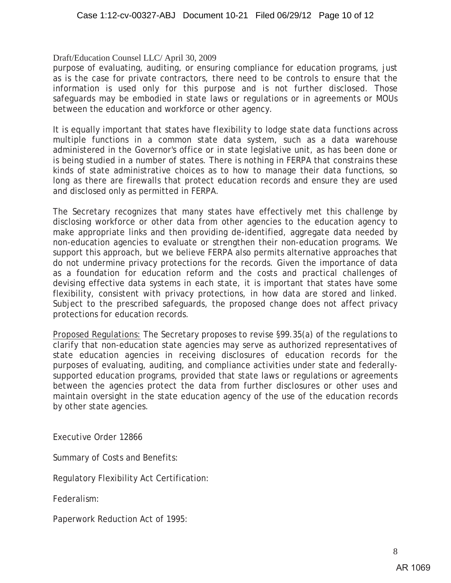purpose of evaluating, auditing, or ensuring compliance for education programs, just as is the case for private contractors, there need to be controls to ensure that the information is used only for this purpose and is not further disclosed. Those safeguards may be embodied in state laws or regulations or in agreements or MOUs between the education and workforce or other agency.

It is equally important that states have flexibility to lodge state data functions across multiple functions in a common state data system, such as a data warehouse administered in the Governor's office or in state legislative unit, as has been done or is being studied in a number of states. There is nothing in FERPA that constrains these kinds of state administrative choices as to how to manage their data functions, so long as there are firewalls that protect education records and ensure they are used and disclosed only as permitted in FERPA.

The Secretary recognizes that many states have effectively met this challenge by disclosing workforce or other data from other agencies to the education agency to make appropriate links and then providing de-identified, aggregate data needed by non-education agencies to evaluate or strengthen their non-education programs. We support this approach, but we believe FERPA also permits alternative approaches that do not undermine privacy protections for the records. Given the importance of data as a foundation for education reform and the costs and practical challenges of devising effective data systems in each state, it is important that states have some flexibility, consistent with privacy protections, in how data are stored and linked. Subject to the prescribed safeguards, the proposed change does not affect privacy protections for education records.

Proposed Regulations: The Secretary proposes to revise §99.35(a) of the regulations to clarify that non-education state agencies may serve as authorized representatives of state education agencies in receiving disclosures of education records for the purposes of evaluating, auditing, and compliance activities under state and federallysupported education programs, provided that state laws or regulations or agreements between the agencies protect the data from further disclosures or other uses and maintain oversight in the state education agency of the use of the education records by other state agencies.

Executive Order 12866

Summary of Costs and Benefits:

Regulatory Flexibility Act Certification:

Federalism:

Paperwork Reduction Act of 1995: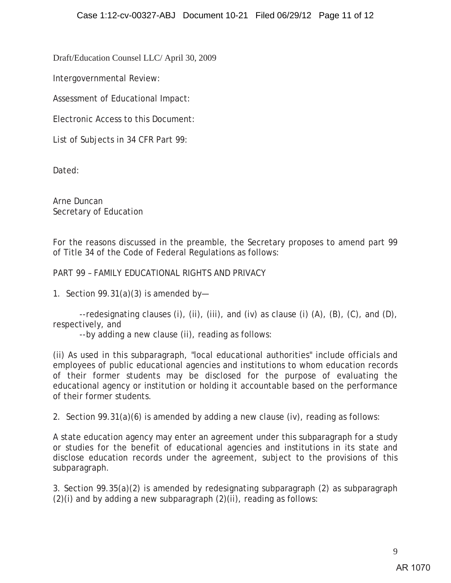Intergovernmental Review:

Assessment of Educational Impact:

Electronic Access to this Document:

List of Subjects in 34 CFR Part 99:

Dated:

Arne Duncan Secretary of Education

For the reasons discussed in the preamble, the Secretary proposes to amend part 99 of Title 34 of the Code of Federal Regulations as follows:

# PART 99 – FAMILY EDUCATIONAL RIGHTS AND PRIVACY

1. Section  $99.31(a)(3)$  is amended by-

--redesignating clauses (i), (ii), (iii), and (iv) as clause (i) (A), (B), (C), and (D), respectively, and

--by adding a new clause (ii), reading as follows:

(ii) As used in this subparagraph, "local educational authorities" include officials and employees of public educational agencies and institutions to whom education records of their former students may be disclosed for the purpose of evaluating the educational agency or institution or holding it accountable based on the performance of their former students.

2. Section 99.31(a)(6) is amended by adding a new clause (iv), reading as follows:

A state education agency may enter an agreement under this subparagraph for a study or studies for the benefit of educational agencies and institutions in its state and disclose education records under the agreement, subject to the provisions of this subparagraph.

3. Section 99.35(a)(2) is amended by redesignating subparagraph (2) as subparagraph  $(2)(i)$  and by adding a new subparagraph  $(2)(ii)$ , reading as follows: